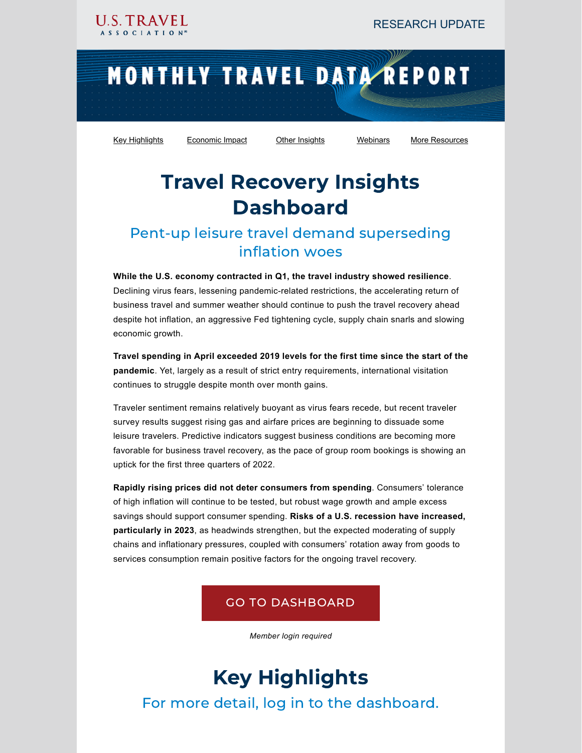# MONTHLY TRAVEL DATA REPORT

[Key Highlights](#page-0-0) [Economic Impact](#page-1-0) [Other Insights](#page-2-0) [Webinars](#page-4-0) [More Resources](#page-1-1)

## Travel Recovery Insights Dashboard

### Pent-up leisure travel demand superseding inflation woes

**While the U.S. economy contracted in Q1, the travel industry showed resilience**. Declining virus fears, lessening pandemic-related restrictions, the accelerating return of business travel and summer weather should continue to push the travel recovery ahead despite hot inflation, an aggressive Fed tightening cycle, supply chain snarls and slowing economic growth.

**Travel spending in April exceeded 2019 levels for the first time since the start of the pandemic**. Yet, largely as a result of strict entry requirements, international visitation continues to struggle despite month over month gains.

Traveler sentiment remains relatively buoyant as virus fears recede, but recent traveler survey results suggest rising gas and airfare prices are beginning to dissuade some leisure travelers. Predictive indicators suggest business conditions are becoming more favorable for business travel recovery, as the pace of group room bookings is showing an uptick for the first three quarters of 2022.

**Rapidly rising prices did not deter consumers from spending**. Consumers' tolerance of high inflation will continue to be tested, but robust wage growth and ample excess savings should support consumer spending. **Risks of a U.S. recession have increased, particularly in 2023**, as headwinds strengthen, but the expected moderating of supply chains and inflationary pressures, coupled with consumers' rotation away from goods to services consumption remain positive factors for the ongoing travel recovery.

#### GO TO [DASHBOARD](https://www.ustravel.org/research/travel-recovery-insights-dashboard)

*Member login required*

## Key Highlights

<span id="page-0-0"></span>For more detail, log in to the dashboard.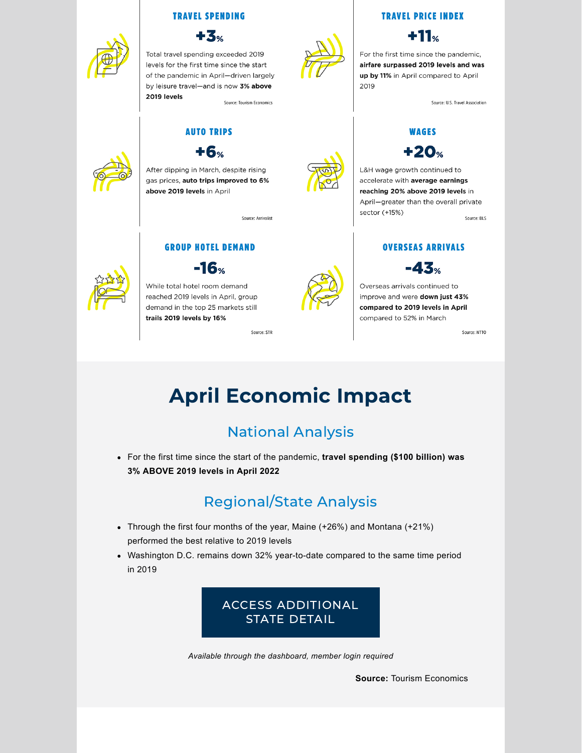#### **TRAVEL SPENDING**



Total travel spending exceeded 2019 levels for the first time since the start of the pandemic in April-driven largely by leisure travel-and is now 3% above 2019 levels

Source: Tourism Economics

### **AUTO TRIPS**



After dipping in March, despite rising gas prices, auto trips improved to 6% above 2019 levels in April

Source: Arrivalist

#### **GROUP HOTEL DEMAND**



 $-16.$ 

While total hotel room demand reached 2019 levels in April, group demand in the top 25 markets still trails 2019 levels by 16%

Source: STR



**TRAVEL PRICE INDEX** 

 $+11\%$ 

For the first time since the pandemic, airfare surpassed 2019 levels and was up by 11% in April compared to April 2019

Source: U.S. Travel Association

#### **WAGES**  $+20$ %

L&H wage growth continued to accelerate with average earnings reaching 20% above 2019 levels in April-greater than the overall private sector (+15%) Source: BLS

**OVERSEAS ARRIVALS** 



Overseas arrivals continued to improve and were down just 43% compared to 2019 levels in April compared to 52% in March

Source: NTTO

## <span id="page-1-0"></span>April Economic Impact

### National Analysis

For the first time since the start of the pandemic, **travel spending (\$100 billion) was 3% ABOVE 2019 levels in April 2022**

### Regional/State Analysis

- Through the first four months of the year, Maine (+26%) and Montana (+21%) performed the best relative to 2019 levels
- Washington D.C. remains down 32% year-to-date compared to the same time period in 2019



<span id="page-1-1"></span>*Available through the dashboard, member login required*

**Source:** Tourism Economics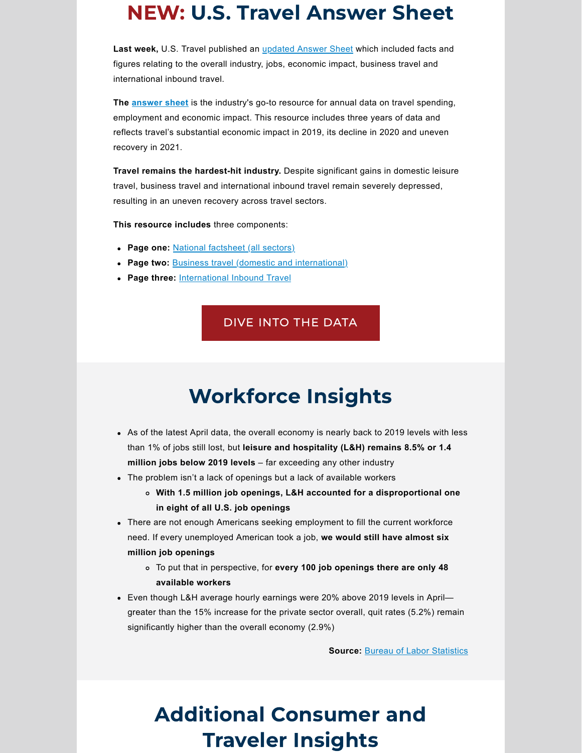### NEW: U.S. Travel Answer Sheet

**Last week,** U.S. Travel published an [updated](https://www.ustravel.org/sites/default/files/2022-05/ust-data-master.pdf) Answer Sheet which included facts and figures relating to the overall industry, jobs, economic impact, business travel and international inbound travel.

**The [answer](https://www.ustravel.org/sites/default/files/2022-05/ust-data-master.pdf) sheet** is the industry's go-to resource for annual data on travel spending, employment and economic impact. This resource includes three years of data and reflects travel's substantial economic impact in 2019, its decline in 2020 and uneven recovery in 2021.

**Travel remains the hardest-hit industry.** Despite significant gains in domestic leisure travel, business travel and international inbound travel remain severely depressed, resulting in an uneven recovery across travel sectors.

**This resource includes** three components:

- **Page one:** National [factsheet](https://www.ustravel.org/sites/default/files/2022-05/ust-national-data-may22.pdf) (all sectors)
- **Page two:** Business travel (domestic and [international\)](https://www.ustravel.org/sites/default/files/2022-05/business-travel-master-data.pdf)
- **Page three:** [International](https://www.ustravel.org/sites/default/files/2022-05/international-inbound-travel-data.pdf) Inbound Travel

#### DIVE INTO THE [DATA](https://www.ustravel.org/sites/default/files/2022-05/ust-data-master.pdf)

## Workforce Insights

- As of the latest April data, the overall economy is nearly back to 2019 levels with less than 1% of jobs still lost, but **leisure and hospitality (L&H) remains 8.5% or 1.4 million jobs below 2019 levels** – far exceeding any other industry
- The problem isn't a lack of openings but a lack of available workers
	- **With 1.5 million job openings, L&H accounted for a disproportional one in eight of all U.S. job openings**
- There are not enough Americans seeking employment to fill the current workforce need. If every unemployed American took a job, **we would still have almost six million job openings**
	- To put that in perspective, for **every 100 job openings there are only 48 available workers**
- Even though L&H average hourly earnings were 20% above 2019 levels in April greater than the 15% increase for the private sector overall, quit rates (5.2%) remain significantly higher than the overall economy (2.9%)

**Source:** Bureau of Labor [Statistics](https://www.ustravel.org/research/leisure-and-hospitality-employment)

## <span id="page-2-0"></span>Additional Consumer and Traveler Insights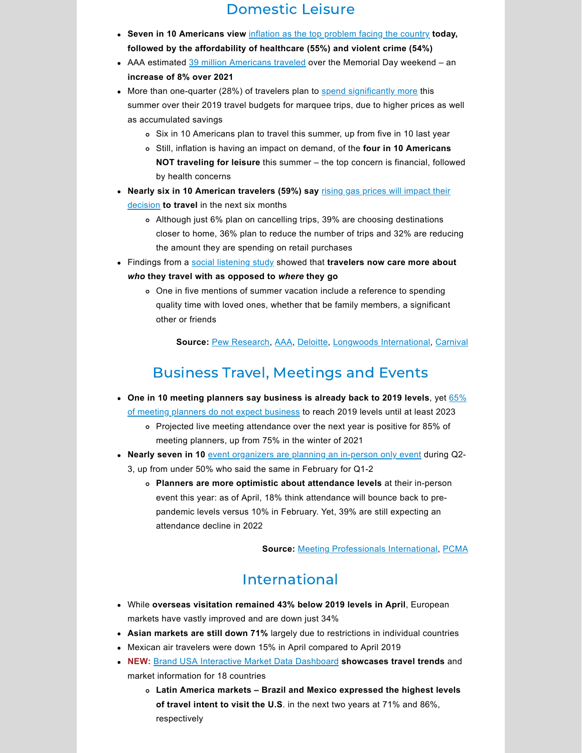### Domestic Leisure

- **Seven in 10 Americans view** inflation as the top [problem](https://www.pewresearch.org/fact-tank/2022/05/12/by-a-wide-margin-americans-view-inflation-as-the-top-problem-facing-the-country-today/?utm_source=Pew+Research+Center&utm_campaign=48ccc8edb7-EMAIL_CAMPAIGN_2022_05_13_01_39&utm_medium=email&utm_term=0_3e953b9b70-48ccc8edb7-400037969) facing the country **today, followed by the affordability of healthcare (55%) and violent crime (54%)**
- AAA estimated 39 million [Americans](https://newsroom.aaa.com/2022/05/the-heat-is-on-memorial-day-forecast-points-to-sizzlin-summer-travel/) traveled over the Memorial Day weekend an **increase of 8% over 2021**
- More than one-quarter (28%) of travelers plan to spend [significantly](https://www2.deloitte.com/us/en/insights/focus/transportation/summer-travel-survey-predictions.html) more this summer over their 2019 travel budgets for marquee trips, due to higher prices as well as accumulated savings
	- o Six in 10 Americans plan to travel this summer, up from five in 10 last year
	- Still, inflation is having an impact on demand, of the **four in 10 Americans NOT traveling for leisure** this summer – the top concern is financial, followed by health concerns
- **Nearly six in 10 [American](https://longwoods-intl.com/news-press-release/american-travel-sentiment-study-wave-61) travelers (59%) say** rising gas prices will impact their decision **to travel** in the next six months
	- Although just 6% plan on cancelling trips, 39% are choosing destinations closer to home, 36% plan to reduce the number of trips and 32% are reducing the amount they are spending on retail purchases
- Findings from a social [listening](https://carnival-news.com/2022/05/23/university-of-florida-and-carnival-cruise-line-study-finds-shift-in-travelers-priorities-for-this-summer/) study showed that **travelers now care more about** *who* **they travel with as opposed to** *where* **they go**
	- One in five mentions of summer vacation include a reference to spending quality time with loved ones, whether that be family members, a significant other or friends

**Source:** Pew [Research,](https://www.pewresearch.org/fact-tank/2022/05/12/by-a-wide-margin-americans-view-inflation-as-the-top-problem-facing-the-country-today/?utm_source=Pew+Research+Center&utm_campaign=48ccc8edb7-EMAIL_CAMPAIGN_2022_05_13_01_39&utm_medium=email&utm_term=0_3e953b9b70-48ccc8edb7-400037969) [AAA,](https://newsroom.aaa.com/2022/05/the-heat-is-on-memorial-day-forecast-points-to-sizzlin-summer-travel/) [Deloitte](https://www2.deloitte.com/us/en/insights/focus/transportation/summer-travel-survey-predictions.html), Longwoods [International,](https://longwoods-intl.com/news-press-release/american-travel-sentiment-study-wave-61) [Carnival](https://carnival-news.com/2022/05/23/university-of-florida-and-carnival-cruise-line-study-finds-shift-in-travelers-priorities-for-this-summer/)

### Business Travel, Meetings and Events

- **One in 10 meeting planners say [business](https://www.mpi.org/docs/default-source/meetings-outlook/meetings-outlook-spring-2022.pdf) is already back to 2019 levels**, yet 65% of meeting planners do not expect business to reach 2019 levels until at least 2023
	- Projected live meeting attendance over the next year is positive for 85% of meeting planners, up from 75% in the winter of 2021
- **Nearly seven in 10** event [organizers](https://www.pcma.org/survey-push-inperson-events-brings-fresh-challenges/) are planning an in-person only event during Q2- 3, up from under 50% who said the same in February for Q1-2
	- **Planners are more optimistic about attendance levels** at their in-person event this year: as of April, 18% think attendance will bounce back to prepandemic levels versus 10% in February. Yet, 39% are still expecting an attendance decline in 2022

**Source:** Meeting [Professionals](https://www.mpi.org/docs/default-source/meetings-outlook/meetings-outlook-spring-2022.pdf) International, [PCMA](https://www.mpi.org/docs/default-source/meetings-outlook/meetings-outlook-spring-2022.pdf)

### International

- While **overseas visitation remained 43% below 2019 levels in April**, European markets have vastly improved and are down just 34%
- **Asian markets are still down 71%** largely due to restrictions in individual countries
- Mexican air travelers were down 15% in April compared to April 2019
- **NEW:** Brand USA Interactive Market Data [Dashboard](https://www.thebrandusa.com/interactive-market-data) **showcases travel trends** and market information for 18 countries
	- **Latin America markets – Brazil and Mexico expressed the highest levels of travel intent to visit the U.S**. in the next two years at 71% and 86%, respectively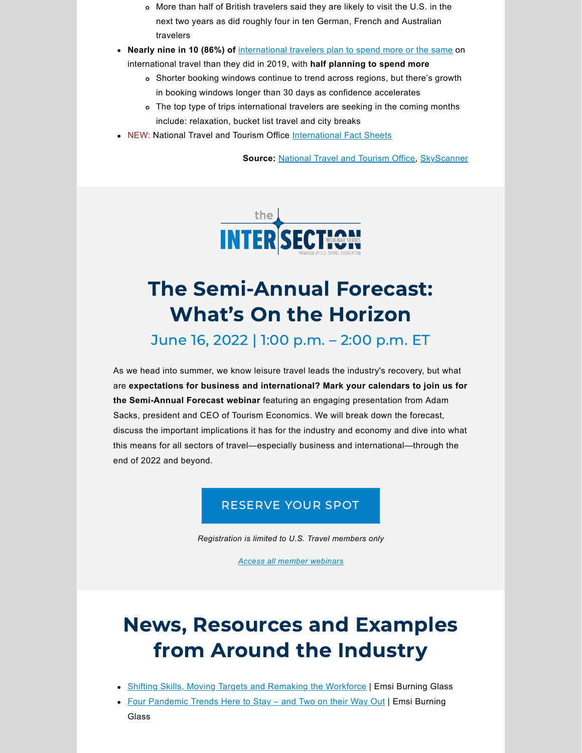- More than half of British travelers said they are likely to visit the U.S. in the next two years as did roughly four in ten German, French and Australian travelers
- **Nearly nine in 10 (86%) of** [international travelers plan to spend more or the same](https://www.partners.skyscanner.net/travels-resilience-horizons-report) on

international travel than they did in 2019, with **half planning to spend more**

- Shorter booking windows continue to trend across regions, but there's growth in booking windows longer than 30 days as confidence accelerates
- The top type of trips international travelers are seeking in the coming months include: relaxation, bucket list travel and city breaks
- <span id="page-4-0"></span>NEW: National Travel and Tourism Office [International Fact Sheets](https://www.trade.gov/travel-and-tourism-research)

**Source:** [National Travel and Tourism Office,](https://www.trade.gov/data-visualization/i-94-visitor-arrivals-monitor-cor) [SkyScanner](https://www.partners.skyscanner.net/travels-resilience-horizons-report)



### The Semi-Annual Forecast: What's On the Horizon

June 16, 2022 | 1:00 p.m. – 2:00 p.m. ET

As we head into summer, we know leisure travel leads the industry's recovery, but what are **expectations for business and international? Mark your calendars to join us for the Semi-Annual Forecast webinar** featuring an engaging presentation from Adam Sacks, president and CEO of Tourism Economics. We will break down the forecast, discuss the important implications it has for the industry and economy and dive into what this means for all sectors of travel—especially business and international—through the end of 2022 and beyond.

#### [RESERVE YOUR SPOT](https://ustravel-org.zoom.us/webinar/register/WN_cbGjjkfKSW2zx3-Kp3uiqQ)

*Registration is limited to U.S. Travel members only*

*[Access all member webinars](https://www.ustravel.org/research/intersection-webinars)*

## News, Resources and Examples from Around the Industry

- **[Shifting Skills, Moving Targets and Remaking the Workforce](https://www.economicmodeling.com/2022/05/23/new-report-measures-blazing-pace-of-skill-change/) | Emsi Burning Glass**
- Four Pandemic Trends Here to Stay and Two on their Way Out | Emsi Burning Glass